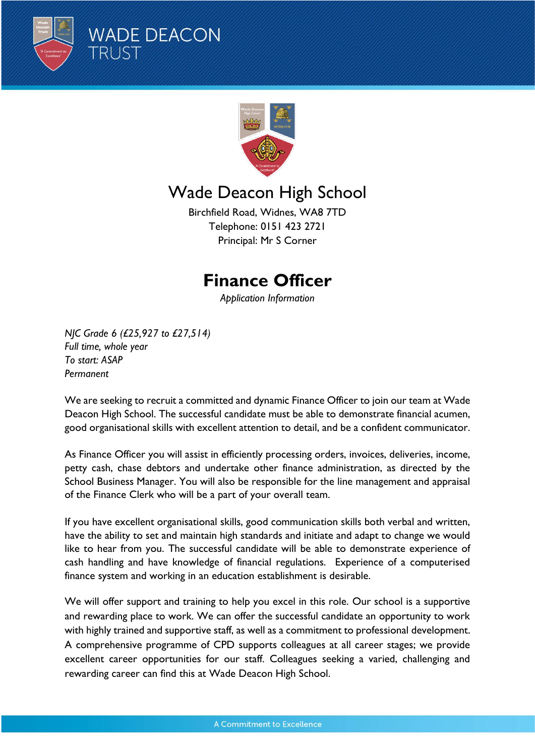



# Wade Deacon High School

Birchfield Road, Widnes, WA8 7TD Telephone: 0151 423 2721 Principal: Mr S Corner

# **Finance Officer**

*Application Information*

*NJC Grade 6 (£25,927 to £27,514) Full time, whole year To start: ASAP Permanent*

We are seeking to recruit a committed and dynamic Finance Officer to join our team at Wade Deacon High School. The successful candidate must be able to demonstrate financial acumen, good organisational skills with excellent attention to detail, and be a confident communicator.

As Finance Officer you will assist in efficiently processing orders, invoices, deliveries, income, petty cash, chase debtors and undertake other finance administration, as directed by the School Business Manager. You will also be responsible for the line management and appraisal of the Finance Clerk who will be a part of your overall team.

If you have excellent organisational skills, good communication skills both verbal and written, have the ability to set and maintain high standards and initiate and adapt to change we would like to hear from you. The successful candidate will be able to demonstrate experience of cash handling and have knowledge of financial regulations. Experience of a computerised finance system and working in an education establishment is desirable.

We will offer support and training to help you excel in this role. Our school is a supportive and rewarding place to work. We can offer the successful candidate an opportunity to work with highly trained and supportive staff, as well as a commitment to professional development. A comprehensive programme of CPD supports colleagues at all career stages; we provide excellent career opportunities for our staff. Colleagues seeking a varied, challenging and rewarding career can find this at Wade Deacon High School.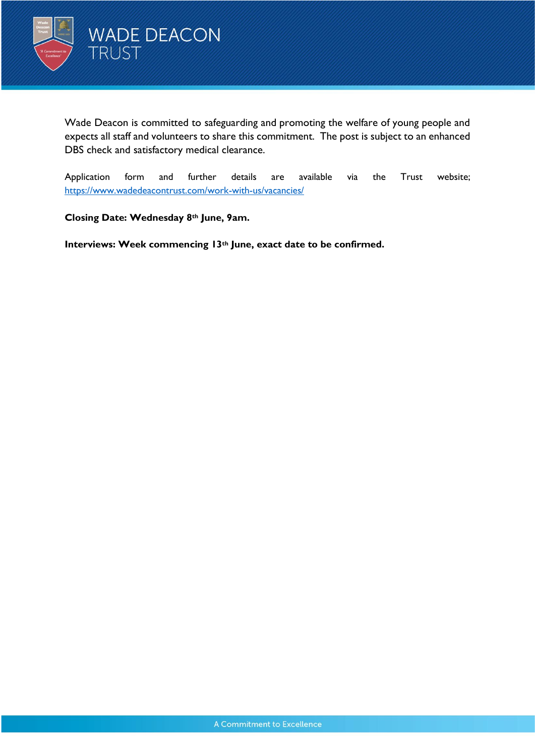

Wade Deacon is committed to safeguarding and promoting the welfare of young people and expects all staff and volunteers to share this commitment. The post is subject to an enhanced DBS check and satisfactory medical clearance.

Application form and further details are available via the Trust website; <https://www.wadedeacontrust.com/work-with-us/vacancies/>

**Closing Date: Wednesday 8th June, 9am.**

**Interviews: Week commencing 13th June, exact date to be confirmed.**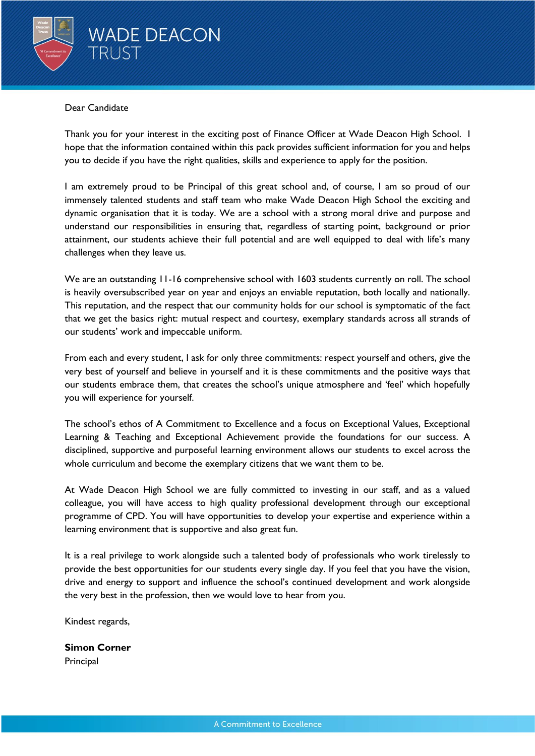

#### Dear Candidate

Thank you for your interest in the exciting post of Finance Officer at Wade Deacon High School. I hope that the information contained within this pack provides sufficient information for you and helps you to decide if you have the right qualities, skills and experience to apply for the position.

I am extremely proud to be Principal of this great school and, of course, I am so proud of our immensely talented students and staff team who make Wade Deacon High School the exciting and dynamic organisation that it is today. We are a school with a strong moral drive and purpose and understand our responsibilities in ensuring that, regardless of starting point, background or prior attainment, our students achieve their full potential and are well equipped to deal with life's many challenges when they leave us.

We are an outstanding 11-16 comprehensive school with 1603 students currently on roll. The school is heavily oversubscribed year on year and enjoys an enviable reputation, both locally and nationally. This reputation, and the respect that our community holds for our school is symptomatic of the fact that we get the basics right: mutual respect and courtesy, exemplary standards across all strands of our students' work and impeccable uniform.

From each and every student, I ask for only three commitments: respect yourself and others, give the very best of yourself and believe in yourself and it is these commitments and the positive ways that our students embrace them, that creates the school's unique atmosphere and 'feel' which hopefully you will experience for yourself.

The school's ethos of A Commitment to Excellence and a focus on Exceptional Values, Exceptional Learning & Teaching and Exceptional Achievement provide the foundations for our success. A disciplined, supportive and purposeful learning environment allows our students to excel across the whole curriculum and become the exemplary citizens that we want them to be.

At Wade Deacon High School we are fully committed to investing in our staff, and as a valued colleague, you will have access to high quality professional development through our exceptional programme of CPD. You will have opportunities to develop your expertise and experience within a learning environment that is supportive and also great fun.

It is a real privilege to work alongside such a talented body of professionals who work tirelessly to provide the best opportunities for our students every single day. If you feel that you have the vision, drive and energy to support and influence the school's continued development and work alongside the very best in the profession, then we would love to hear from you.

Kindest regards,

**Simon Corner**  Principal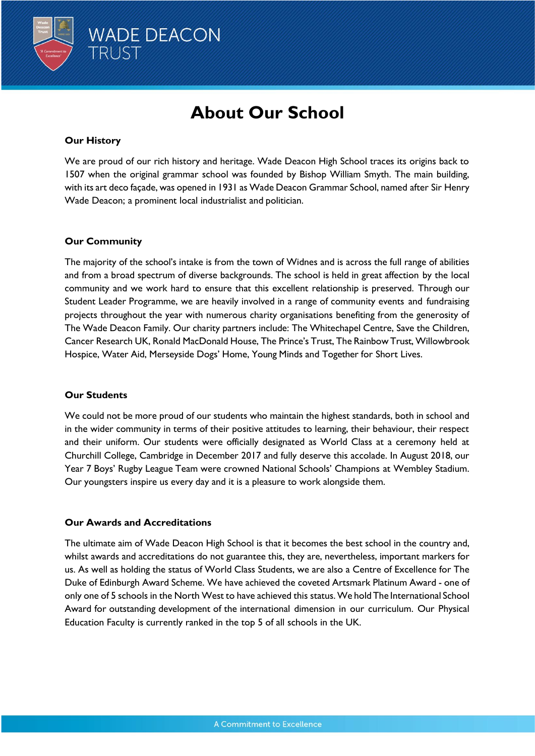

# **About Our School**

### **Our History**

We are proud of our rich history and heritage. Wade Deacon High School traces its origins back to 1507 when the original grammar school was founded by Bishop William Smyth. The main building, with its art deco façade, was opened in 1931 as Wade Deacon Grammar School, named after Sir Henry Wade Deacon; a prominent local industrialist and politician.

## **Our Community**

The majority of the school's intake is from the town of Widnes and is across the full range of abilities and from a broad spectrum of diverse backgrounds. The school is held in great affection by the local community and we work hard to ensure that this excellent relationship is preserved. Through our Student Leader Programme, we are heavily involved in a range of community events and fundraising projects throughout the year with numerous charity organisations benefiting from the generosity of The Wade Deacon Family. Our charity partners include: The Whitechapel Centre, Save the Children, Cancer Research UK, Ronald MacDonald House, The Prince's Trust, The Rainbow Trust, Willowbrook Hospice, Water Aid, Merseyside Dogs' Home, Young Minds and Together for Short Lives.

#### **Our Students**

We could not be more proud of our students who maintain the highest standards, both in school and in the wider community in terms of their positive attitudes to learning, their behaviour, their respect and their uniform. Our students were officially designated as World Class at a ceremony held at Churchill College, Cambridge in December 2017 and fully deserve this accolade. In August 2018, our Year 7 Boys' Rugby League Team were crowned National Schools' Champions at Wembley Stadium. Our youngsters inspire us every day and it is a pleasure to work alongside them.

#### **Our Awards and Accreditations**

The ultimate aim of Wade Deacon High School is that it becomes the best school in the country and, whilst awards and accreditations do not guarantee this, they are, nevertheless, important markers for us. As well as holding the status of World Class Students, we are also a Centre of Excellence for The Duke of Edinburgh Award Scheme. We have achieved the coveted Artsmark Platinum Award - one of only one of 5 schools in the North West to have achieved this status.We hold The International School Award for outstanding development of the international dimension in our curriculum. Our Physical Education Faculty is currently ranked in the top 5 of all schools in the UK.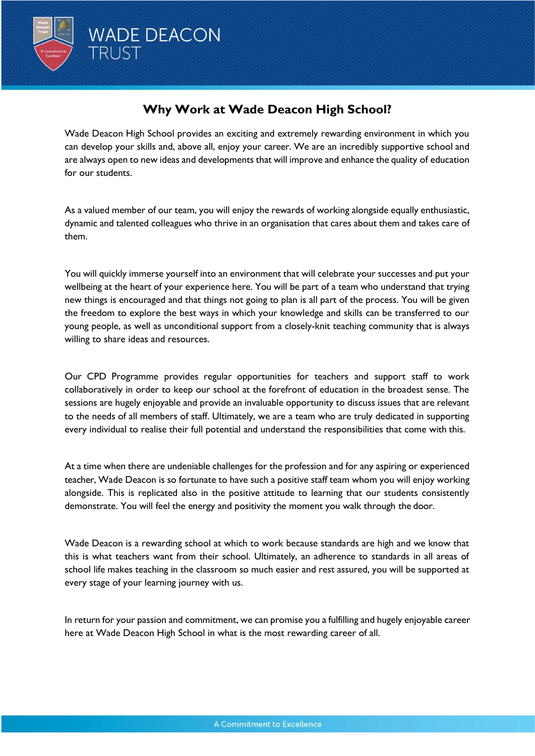

# **Why Work at Wade Deacon High School?**

Wade Deacon High School provides an exciting and extremely rewarding environment in which you can develop your skills and, above all, enjoy your career. We are an incredibly supportive school and are always open to new ideas and developments that will improve and enhance the quality of education for our students.

As a valued member of our team, you will enjoy the rewards of working alongside equally enthusiastic, dynamic and talented colleagues who thrive in an organisation that cares about them and takes care of them.

You will quickly immerse yourself into an environment that will celebrate your successes and put your wellbeing at the heart of your experience here. You will be part of a team who understand that trying new things is encouraged and that things not going to plan is all part of the process. You will be given the freedom to explore the best ways in which your knowledge and skills can be transferred to our young people, as well as unconditional support from a closely-knit teaching community that is always willing to share ideas and resources.

Our CPD Programme provides regular opportunities for teachers and support staff to work collaboratively in order to keep our school at the forefront of education in the broadest sense. The sessions are hugely enjoyable and provide an invaluable opportunity to discuss issues that are relevant to the needs of all members of staff. Ultimately, we are a team who are truly dedicated in supporting every individual to realise their full potential and understand the responsibilities that come with this.

At a time when there are undeniable challenges for the profession and for any aspiring or experienced teacher, Wade Deacon is so fortunate to have such a positive staff team whom you will enjoy working alongside. This is replicated also in the positive attitude to learning that our students consistently demonstrate. You will feel the energy and positivity the moment you walk through the door.

Wade Deacon is a rewarding school at which to work because standards are high and we know that this is what teachers want from their school. Ultimately, an adherence to standards in all areas of school life makes teaching in the classroom so much easier and rest assured, you will be supported at every stage of your learning journey with us.

In return for your passion and commitment, we can promise you a fulfilling and hugely enjoyable career here at Wade Deacon High School in what is the most rewarding career of all.